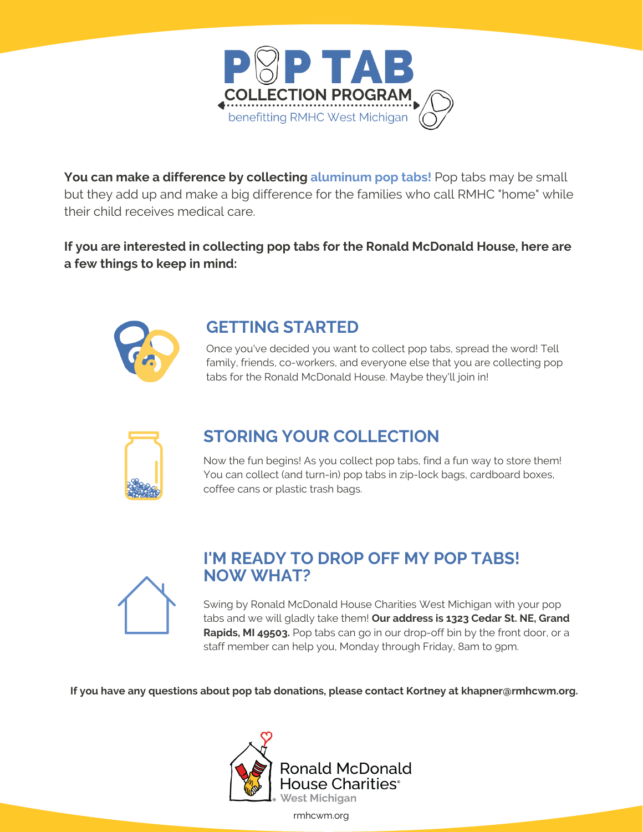

You can make a difference by collecting aluminum pop tabs! Pop tabs may be small but they add up and make a big difference for the families who call RMHC "home" while their child receives medical care.

**If you are interested in collecting pop tabs for the Ronald McDonald House, here are a few things to keep in mind:**



## **GETTING STARTED**

Once you've decided you want to collect pop tabs, spread the word! Tell family, friends, co-workers, and everyone else that you are collecting pop tabs for the Ronald McDonald House. Maybe they'll join in!



## **STORING YOUR COLLECTION**

Now the fun begins! As you collect pop tabs, find a fun way to store them! You can collect (and turn-in) pop tabs in zip-lock bags, cardboard boxes, coffee cans or plastic trash bags.



## **I'M READY TO DROP OFF MY POP TABS! NOW WHAT?**

Swing by Ronald McDonald House Charities West Michigan with your pop tabs and we will gladly take them! **Our address is 1323 Cedar St. NE, Grand Rapids, MI 49503.** Pop tabs can go in our drop-off bin by the front door, or a staff member can help you, Monday through Friday, 8am to 9pm.

**If you have any questions about pop tab donations, please contact Kortney at khapner@rmhcwm.org.**